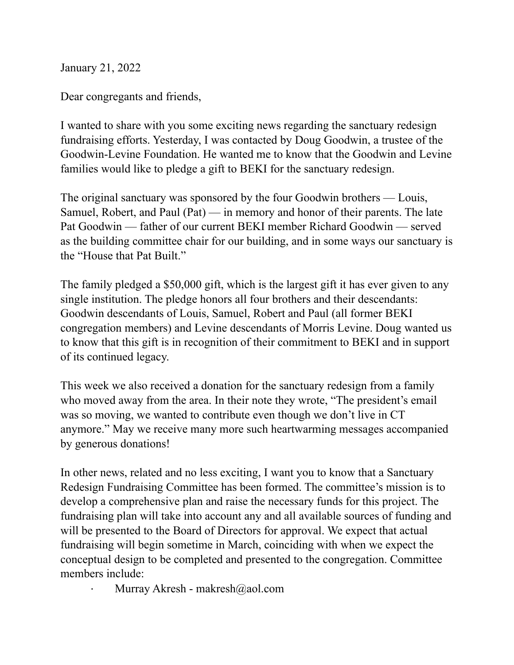January 21, 2022

Dear congregants and friends,

I wanted to share with you some exciting news regarding the sanctuary redesign fundraising efforts. Yesterday, I was contacted by Doug Goodwin, a trustee of the Goodwin-Levine Foundation. He wanted me to know that the Goodwin and Levine families would like to pledge a gift to BEKI for the sanctuary redesign.

The original sanctuary was sponsored by the four Goodwin brothers — Louis, Samuel, Robert, and Paul (Pat) — in memory and honor of their parents. The late Pat Goodwin — father of our current BEKI member Richard Goodwin — served as the building committee chair for our building, and in some ways our sanctuary is the "House that Pat Built."

The family pledged a \$50,000 gift, which is the largest gift it has ever given to any single institution. The pledge honors all four brothers and their descendants: Goodwin descendants of Louis, Samuel, Robert and Paul (all former BEKI congregation members) and Levine descendants of Morris Levine. Doug wanted us to know that this gift is in recognition of their commitment to BEKI and in support of its continued legacy.

This week we also received a donation for the sanctuary redesign from a family who moved away from the area. In their note they wrote, "The president's email was so moving, we wanted to contribute even though we don't live in CT anymore." May we receive many more such heartwarming messages accompanied by generous donations!

In other news, related and no less exciting, I want you to know that a Sanctuary Redesign Fundraising Committee has been formed. The committee's mission is to develop a comprehensive plan and raise the necessary funds for this project. The fundraising plan will take into account any and all available sources of funding and will be presented to the Board of Directors for approval. We expect that actual fundraising will begin sometime in March, coinciding with when we expect the conceptual design to be completed and presented to the congregation. Committee members include:

Murray Akresh - makresh@aol.com